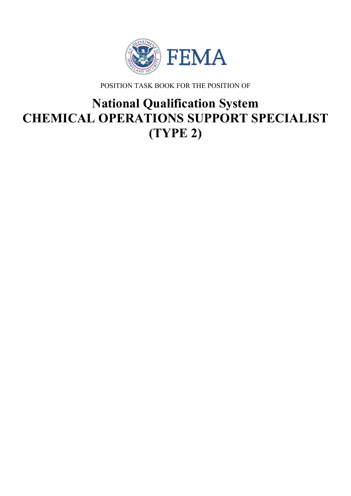

POSITION TASK BOOK FOR THE POSITION OF

# **National Qualification System CHEMICAL OPERATIONS SUPPORT SPECIALIST (TYPE 2)**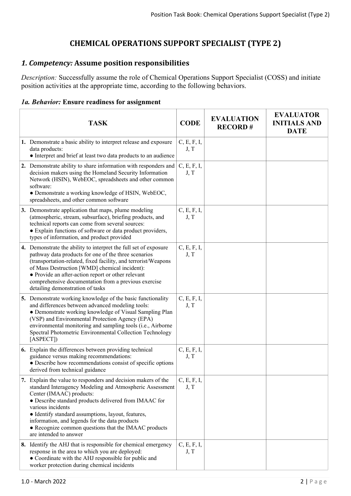# **CHEMICAL OPERATIONS SUPPORT SPECIALIST (TYPE 2)**

# *1. Competency:* **Assume position responsibilities**

*Description:* Successfully assume the role of Chemical Operations Support Specialist (COSS) and initiate position activities at the appropriate time, according to the following behaviors.

#### *1a. Behavior:* **Ensure readiness for assignment**

| <b>TASK</b>                                                                                                                                                                                                                                                                                                                                                                                                                   | <b>CODE</b>         | <b>EVALUATION</b><br><b>RECORD#</b> | <b>EVALUATOR</b><br><b>INITIALS AND</b><br><b>DATE</b> |
|-------------------------------------------------------------------------------------------------------------------------------------------------------------------------------------------------------------------------------------------------------------------------------------------------------------------------------------------------------------------------------------------------------------------------------|---------------------|-------------------------------------|--------------------------------------------------------|
| 1. Demonstrate a basic ability to interpret release and exposure<br>data products:<br>• Interpret and brief at least two data products to an audience                                                                                                                                                                                                                                                                         | C, E, F, I,<br>J, T |                                     |                                                        |
| 2. Demonstrate ability to share information with responders and<br>decision makers using the Homeland Security Information<br>Network (HSIN), WebEOC, spreadsheets and other common<br>software:<br>· Demonstrate a working knowledge of HSIN, WebEOC,<br>spreadsheets, and other common software                                                                                                                             | C, E, F, I,<br>J, T |                                     |                                                        |
| 3. Demonstrate application that maps, plume modeling<br>(atmospheric, stream, subsurface), briefing products, and<br>technical reports can come from several sources:<br>• Explain functions of software or data product providers,<br>types of information, and product provided                                                                                                                                             | C, E, F, I,<br>J, T |                                     |                                                        |
| 4. Demonstrate the ability to interpret the full set of exposure<br>pathway data products for one of the three scenarios<br>(transportation-related, fixed facility, and terrorist/Weapons<br>of Mass Destruction [WMD] chemical incident):<br>• Provide an after-action report or other relevant<br>comprehensive documentation from a previous exercise<br>detailing demonstration of tasks                                 | C, E, F, I,<br>J, T |                                     |                                                        |
| 5. Demonstrate working knowledge of the basic functionality<br>and differences between advanced modeling tools:<br>• Demonstrate working knowledge of Visual Sampling Plan<br>(VSP) and Environmental Protection Agency (EPA)<br>environmental monitoring and sampling tools (i.e., Airborne<br>Spectral Photometric Environmental Collection Technology<br>[ASPECT]                                                          | C, E, F, I,<br>J, T |                                     |                                                        |
| 6. Explain the differences between providing technical<br>guidance versus making recommendations:<br>· Describe how recommendations consist of specific options<br>derived from technical guidance                                                                                                                                                                                                                            | C, E, F, I,<br>J, T |                                     |                                                        |
| 7. Explain the value to responders and decision makers of the<br>standard Interagency Modeling and Atmospheric Assessment<br>Center (IMAAC) products:<br>• Describe standard products delivered from IMAAC for<br>various incidents<br>· Identify standard assumptions, layout, features,<br>information, and legends for the data products<br>• Recognize common questions that the IMAAC products<br>are intended to answer | C, E, F, I,<br>J, T |                                     |                                                        |
| 8. Identify the AHJ that is responsible for chemical emergency<br>response in the area to which you are deployed:<br>• Coordinate with the AHJ responsible for public and<br>worker protection during chemical incidents                                                                                                                                                                                                      | C, E, F, I,<br>J, T |                                     |                                                        |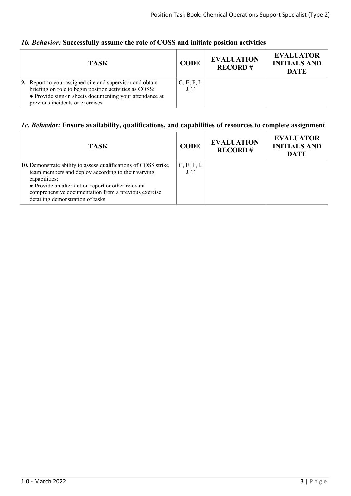## *1b. Behavior:* **Successfully assume the role of COSS and initiate position activities**

| <b>TASK</b>                                                                                                                                                                                                       | <b>CODE</b>         | <b>EVALUATION</b><br><b>RECORD#</b> | <b>EVALUATOR</b><br><b>INITIALS AND</b><br><b>DATE</b> |
|-------------------------------------------------------------------------------------------------------------------------------------------------------------------------------------------------------------------|---------------------|-------------------------------------|--------------------------------------------------------|
| 9. Report to your assigned site and supervisor and obtain<br>briefing on role to begin position activities as COSS:<br>• Provide sign-in sheets documenting your attendance at<br>previous incidents or exercises | C, E, F, I,<br>J, T |                                     |                                                        |

## *1c. Behavior:* **Ensure availability, qualifications, and capabilities of resources to complete assignment**

| <b>TASK</b>                                                                                                                                                                                                                                                                              | <b>CODE</b>         | <b>EVALUATION</b><br><b>RECORD#</b> | <b>EVALUATOR</b><br><b>INITIALS AND</b><br><b>DATE</b> |
|------------------------------------------------------------------------------------------------------------------------------------------------------------------------------------------------------------------------------------------------------------------------------------------|---------------------|-------------------------------------|--------------------------------------------------------|
| 10. Demonstrate ability to assess qualifications of COSS strike<br>team members and deploy according to their varying<br>capabilities:<br>• Provide an after-action report or other relevant<br>comprehensive documentation from a previous exercise<br>detailing demonstration of tasks | C, E, F, I,<br>J, T |                                     |                                                        |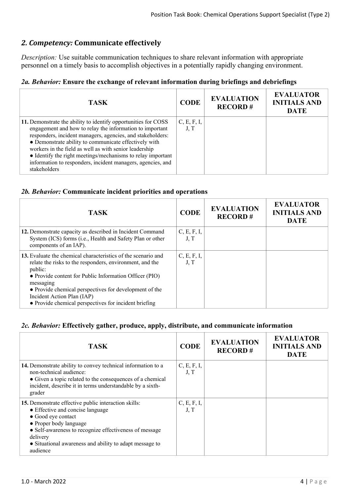# *2. Competency:* **Communicate effectively**

*Description:* Use suitable communication techniques to share relevant information with appropriate personnel on a timely basis to accomplish objectives in a potentially rapidly changing environment.

## *2a. Behavior:* **Ensure the exchange of relevant information during briefings and debriefings**

| TASK.                                                                                                                                                                                                                                                                                                                                                                                                                                                     | <b>CODE</b>         | <b>EVALUATION</b><br><b>RECORD#</b> | <b>EVALUATOR</b><br><b>INITIALS AND</b><br><b>DATE</b> |
|-----------------------------------------------------------------------------------------------------------------------------------------------------------------------------------------------------------------------------------------------------------------------------------------------------------------------------------------------------------------------------------------------------------------------------------------------------------|---------------------|-------------------------------------|--------------------------------------------------------|
| 11. Demonstrate the ability to identify opportunities for COSS<br>engagement and how to relay the information to important<br>responders, incident managers, agencies, and stakeholders:<br>• Demonstrate ability to communicate effectively with<br>workers in the field as well as with senior leadership<br>• Identify the right meetings/mechanisms to relay important<br>information to responders, incident managers, agencies, and<br>stakeholders | C, E, F, I,<br>J, T |                                     |                                                        |

#### *2b. Behavior:* **Communicate incident priorities and operations**

| <b>TASK</b>                                                                                                                                                                                                                                                                                                                                                  | <b>CODE</b>         | <b>EVALUATION</b><br><b>RECORD#</b> | <b>EVALUATOR</b><br><b>INITIALS AND</b><br><b>DATE</b> |
|--------------------------------------------------------------------------------------------------------------------------------------------------------------------------------------------------------------------------------------------------------------------------------------------------------------------------------------------------------------|---------------------|-------------------------------------|--------------------------------------------------------|
| 12. Demonstrate capacity as described in Incident Command<br>System (ICS) forms (i.e., Health and Safety Plan or other<br>components of an IAP).                                                                                                                                                                                                             | C, E, F, I,<br>J, T |                                     |                                                        |
| 13. Evaluate the chemical characteristics of the scenario and<br>relate the risks to the responders, environment, and the<br>public:<br>• Provide content for Public Information Officer (PIO)<br>messaging<br>• Provide chemical perspectives for development of the<br>Incident Action Plan (IAP)<br>• Provide chemical perspectives for incident briefing | C, E, F, I,<br>J, T |                                     |                                                        |

#### *2c. Behavior:* **Effectively gather, produce, apply, distribute, and communicate information**

| <b>TASK</b>                                                                                                                                                                                                                                                                           | <b>CODE</b>         | <b>EVALUATION</b><br><b>RECORD#</b> | <b>EVALUATOR</b><br><b>INITIALS AND</b><br><b>DATE</b> |
|---------------------------------------------------------------------------------------------------------------------------------------------------------------------------------------------------------------------------------------------------------------------------------------|---------------------|-------------------------------------|--------------------------------------------------------|
| 14. Demonstrate ability to convey technical information to a<br>non-technical audience:<br>• Given a topic related to the consequences of a chemical<br>incident, describe it in terms understandable by a sixth-<br>grader                                                           | C, E, F, I,<br>J, T |                                     |                                                        |
| 15. Demonstrate effective public interaction skills:<br>• Effective and concise language<br>• Good eye contact<br>• Proper body language<br>• Self-awareness to recognize effectiveness of message<br>delivery<br>• Situational awareness and ability to adapt message to<br>audience | C, E, F, I,<br>J, T |                                     |                                                        |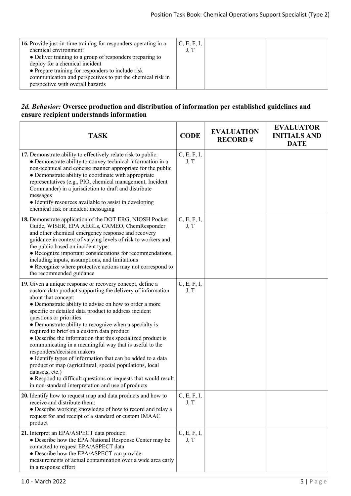#### *2d. Behavior:* **Oversee production and distribution of information per established guidelines and ensure recipient understands information**

| <b>TASK</b>                                                                                                                                                                                                                                                                                                                                                                                                                                                                                                                                                                                                                                                                                                                                                                                                                        | <b>CODE</b>         | <b>EVALUATION</b><br><b>RECORD#</b> | <b>EVALUATOR</b><br><b>INITIALS AND</b><br><b>DATE</b> |
|------------------------------------------------------------------------------------------------------------------------------------------------------------------------------------------------------------------------------------------------------------------------------------------------------------------------------------------------------------------------------------------------------------------------------------------------------------------------------------------------------------------------------------------------------------------------------------------------------------------------------------------------------------------------------------------------------------------------------------------------------------------------------------------------------------------------------------|---------------------|-------------------------------------|--------------------------------------------------------|
| 17. Demonstrate ability to effectively relate risk to public:<br>• Demonstrate ability to convey technical information in a<br>non-technical and concise manner appropriate for the public<br>• Demonstrate ability to coordinate with appropriate<br>representatives (e.g., PIO, chemical management, Incident<br>Commander) in a jurisdiction to draft and distribute<br>messages<br>• Identify resources available to assist in developing<br>chemical risk or incident messaging                                                                                                                                                                                                                                                                                                                                               | C, E, F, I,<br>J, T |                                     |                                                        |
| 18. Demonstrate application of the DOT ERG, NIOSH Pocket<br>Guide, WISER, EPA AEGLs, CAMEO, ChemResponder<br>and other chemical emergency response and recovery<br>guidance in context of varying levels of risk to workers and<br>the public based on incident type:<br>• Recognize important considerations for recommendations,<br>including inputs, assumptions, and limitations<br>• Recognize where protective actions may not correspond to<br>the recommended guidance                                                                                                                                                                                                                                                                                                                                                     | C, E, F, I,<br>J, T |                                     |                                                        |
| 19. Given a unique response or recovery concept, define a<br>custom data product supporting the delivery of information<br>about that concept:<br>• Demonstrate ability to advise on how to order a more<br>specific or detailed data product to address incident<br>questions or priorities<br>• Demonstrate ability to recognize when a specialty is<br>required to brief on a custom data product<br>• Describe the information that this specialized product is<br>communicating in a meaningful way that is useful to the<br>responders/decision makers<br>• Identify types of information that can be added to a data<br>product or map (agricultural, special populations, local<br>datasets, etc.)<br>• Respond to difficult questions or requests that would result<br>in non-standard interpretation and use of products | C, E, F, I,<br>J, T |                                     |                                                        |
| 20. Identify how to request map and data products and how to<br>receive and distribute them:<br>• Describe working knowledge of how to record and relay a<br>request for and receipt of a standard or custom IMAAC<br>product                                                                                                                                                                                                                                                                                                                                                                                                                                                                                                                                                                                                      | C, E, F, I,<br>J, T |                                     |                                                        |
| 21. Interpret an EPA/ASPECT data product:<br>• Describe how the EPA National Response Center may be<br>contacted to request EPA/ASPECT data<br>• Describe how the EPA/ASPECT can provide<br>measurements of actual contamination over a wide area early<br>in a response effort                                                                                                                                                                                                                                                                                                                                                                                                                                                                                                                                                    | C, E, F, I,<br>J, T |                                     |                                                        |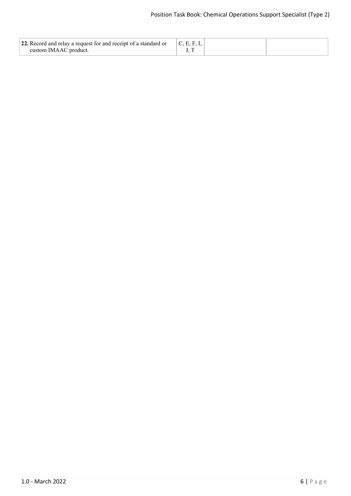| 22. Record and relay a request for and receipt of a standard or<br>custom IMAAC product. | <sup><math>\mathsf{L}</math></sup> C, E, F, I, |  |
|------------------------------------------------------------------------------------------|------------------------------------------------|--|
|                                                                                          |                                                |  |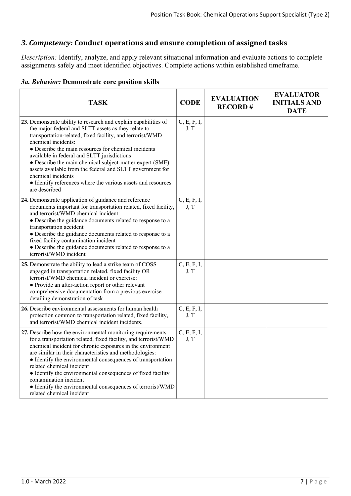# *3. Competency:* **Conduct operations and ensure completion of assigned tasks**

*Description:* Identify, analyze, and apply relevant situational information and evaluate actions to complete assignments safely and meet identified objectives. Complete actions within established timeframe.

#### *3a. Behavior:* **Demonstrate core position skills**

| <b>TASK</b>                                                                                                                                                                                                                                                                                                                                                                                                                                                                                                                                       | <b>CODE</b>         | <b>EVALUATION</b><br><b>RECORD#</b> | <b>EVALUATOR</b><br><b>INITIALS AND</b><br><b>DATE</b> |
|---------------------------------------------------------------------------------------------------------------------------------------------------------------------------------------------------------------------------------------------------------------------------------------------------------------------------------------------------------------------------------------------------------------------------------------------------------------------------------------------------------------------------------------------------|---------------------|-------------------------------------|--------------------------------------------------------|
| 23. Demonstrate ability to research and explain capabilities of<br>the major federal and SLTT assets as they relate to<br>transportation-related, fixed facility, and terrorist/WMD<br>chemical incidents:<br>• Describe the main resources for chemical incidents<br>available in federal and SLTT jurisdictions<br>• Describe the main chemical subject-matter expert (SME)<br>assets available from the federal and SLTT government for<br>chemical incidents<br>• Identify references where the various assets and resources<br>are described | C, E, F, I,<br>J, T |                                     |                                                        |
| 24. Demonstrate application of guidance and reference<br>documents important for transportation related, fixed facility,<br>and terrorist/WMD chemical incident:<br>• Describe the guidance documents related to response to a<br>transportation accident<br>• Describe the guidance documents related to response to a<br>fixed facility contamination incident<br>• Describe the guidance documents related to response to a<br>terrorist/WMD incident                                                                                          | C, E, F, I,<br>J, T |                                     |                                                        |
| 25. Demonstrate the ability to lead a strike team of COSS<br>engaged in transportation related, fixed facility OR<br>terrorist/WMD chemical incident or exercise:<br>• Provide an after-action report or other relevant<br>comprehensive documentation from a previous exercise<br>detailing demonstration of task                                                                                                                                                                                                                                | C, E, F, I,<br>J, T |                                     |                                                        |
| 26. Describe environmental assessments for human health<br>protection common to transportation related, fixed facility,<br>and terrorist/WMD chemical incident incidents.                                                                                                                                                                                                                                                                                                                                                                         | C, E, F, I,<br>J, T |                                     |                                                        |
| 27. Describe how the environmental monitoring requirements<br>for a transportation related, fixed facility, and terrorist/WMD<br>chemical incident for chronic exposures in the environment<br>are similar in their characteristics and methodologies:<br>• Identify the environmental consequences of transportation<br>related chemical incident<br>• Identify the environmental consequences of fixed facility<br>contamination incident<br>• Identify the environmental consequences of terrorist/WMD<br>related chemical incident            | C, E, F, I,<br>J, T |                                     |                                                        |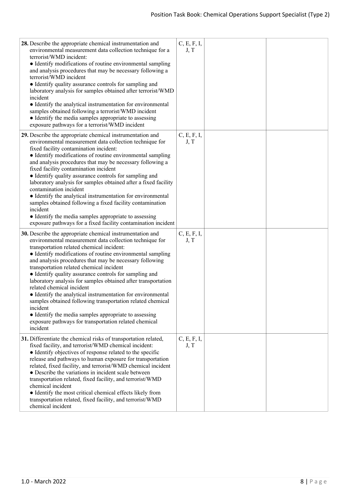| 28. Describe the appropriate chemical instrumentation and<br>environmental measurement data collection technique for a<br>terrorist/WMD incident:<br>• Identify modifications of routine environmental sampling<br>and analysis procedures that may be necessary following a<br>terrorist/WMD incident<br>• Identify quality assurance controls for sampling and<br>laboratory analysis for samples obtained after terrorist/WMD<br>incident<br>• Identify the analytical instrumentation for environmental<br>samples obtained following a terrorist/WMD incident<br>• Identify the media samples appropriate to assessing<br>exposure pathways for a terrorist/WMD incident                                                                                         | C, E, F, I,<br>J, T |  |
|-----------------------------------------------------------------------------------------------------------------------------------------------------------------------------------------------------------------------------------------------------------------------------------------------------------------------------------------------------------------------------------------------------------------------------------------------------------------------------------------------------------------------------------------------------------------------------------------------------------------------------------------------------------------------------------------------------------------------------------------------------------------------|---------------------|--|
| 29. Describe the appropriate chemical instrumentation and<br>environmental measurement data collection technique for<br>fixed facility contamination incident:<br>• Identify modifications of routine environmental sampling<br>and analysis procedures that may be necessary following a<br>fixed facility contamination incident<br>• Identify quality assurance controls for sampling and<br>laboratory analysis for samples obtained after a fixed facility<br>contamination incident<br>• Identify the analytical instrumentation for environmental<br>samples obtained following a fixed facility contamination<br>incident<br>• Identify the media samples appropriate to assessing<br>exposure pathways for a fixed facility contamination incident           | C, E, F, I,<br>J, T |  |
| 30. Describe the appropriate chemical instrumentation and<br>environmental measurement data collection technique for<br>transportation related chemical incident:<br>• Identify modifications of routine environmental sampling<br>and analysis procedures that may be necessary following<br>transportation related chemical incident<br>• Identify quality assurance controls for sampling and<br>laboratory analysis for samples obtained after transportation<br>related chemical incident<br>• Identify the analytical instrumentation for environmental<br>samples obtained following transportation related chemical<br>incident<br>• Identify the media samples appropriate to assessing<br>exposure pathways for transportation related chemical<br>incident | C, E, F, I,<br>J, T |  |
| 31. Differentiate the chemical risks of transportation related,<br>fixed facility, and terrorist/WMD chemical incident:<br>• Identify objectives of response related to the specific<br>release and pathways to human exposure for transportation<br>related, fixed facility, and terrorist/WMD chemical incident<br>• Describe the variations in incident scale between<br>transportation related, fixed facility, and terrorist/WMD<br>chemical incident<br>• Identify the most critical chemical effects likely from<br>transportation related, fixed facility, and terrorist/WMD<br>chemical incident                                                                                                                                                             | C, E, F, I,<br>J, T |  |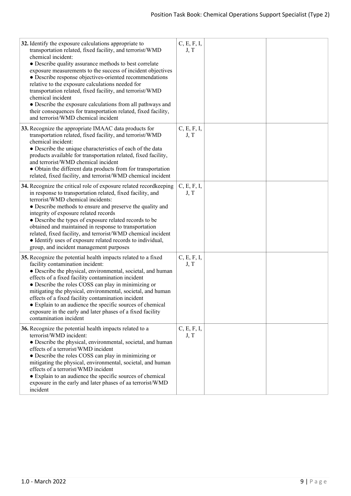| 32. Identify the exposure calculations appropriate to<br>transportation related, fixed facility, and terrorist/WMD<br>chemical incident:<br>• Describe quality assurance methods to best correlate<br>exposure measurements to the success of incident objectives<br>• Describe response objectives-oriented recommendations<br>relative to the exposure calculations needed for<br>transportation related, fixed facility, and terrorist/WMD<br>chemical incident<br>• Describe the exposure calculations from all pathways and<br>their consequences for transportation related, fixed facility,<br>and terrorist/WMD chemical incident | C, E, F, I,<br>J, T |  |
|-------------------------------------------------------------------------------------------------------------------------------------------------------------------------------------------------------------------------------------------------------------------------------------------------------------------------------------------------------------------------------------------------------------------------------------------------------------------------------------------------------------------------------------------------------------------------------------------------------------------------------------------|---------------------|--|
| 33. Recognize the appropriate IMAAC data products for<br>transportation related, fixed facility, and terrorist/WMD<br>chemical incident:<br>• Describe the unique characteristics of each of the data<br>products available for transportation related, fixed facility,<br>and terrorist/WMD chemical incident<br>• Obtain the different data products from for transportation<br>related, fixed facility, and terrorist/WMD chemical incident                                                                                                                                                                                            | C, E, F, I,<br>J, T |  |
| 34. Recognize the critical role of exposure related recordkeeping<br>in response to transportation related, fixed facility, and<br>terrorist/WMD chemical incidents:<br>• Describe methods to ensure and preserve the quality and<br>integrity of exposure related records<br>• Describe the types of exposure related records to be<br>obtained and maintained in response to transportation<br>related, fixed facility, and terrorist/WMD chemical incident<br>• Identify uses of exposure related records to individual,<br>group, and incident management purposes                                                                    | C, E, F, I,<br>J, T |  |
| 35. Recognize the potential health impacts related to a fixed<br>facility contamination incident:<br>• Describe the physical, environmental, societal, and human<br>effects of a fixed facility contamination incident<br>• Describe the roles COSS can play in minimizing or<br>mitigating the physical, environmental, societal, and human<br>effects of a fixed facility contamination incident<br>• Explain to an audience the specific sources of chemical<br>exposure in the early and later phases of a fixed facility<br>contamination incident                                                                                   | C, E, F, I,<br>J, T |  |
| 36. Recognize the potential health impacts related to a<br>terrorist/WMD incident:<br>• Describe the physical, environmental, societal, and human<br>effects of a terrorist/WMD incident<br>• Describe the roles COSS can play in minimizing or<br>mitigating the physical, environmental, societal, and human<br>effects of a terrorist/WMD incident<br>• Explain to an audience the specific sources of chemical<br>exposure in the early and later phases of aa terrorist/WMD<br>incident                                                                                                                                              | C, E, F, I,<br>J, T |  |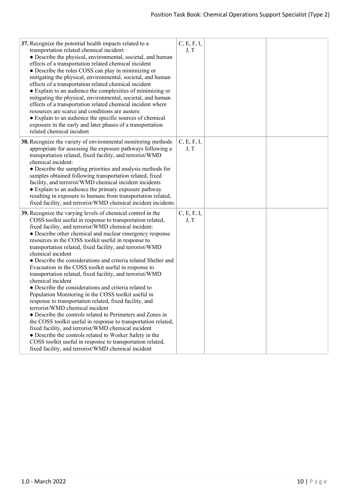| 37. Recognize the potential health impacts related to a<br>transportation related chemical incident:<br>• Describe the physical, environmental, societal, and human<br>effects of a transportation related chemical incident<br>• Describe the roles COSS can play in minimizing or<br>mitigating the physical, environmental, societal, and human<br>effects of a transportation related chemical incident<br>• Explain to an audience the complexities of minimizing or<br>mitigating the physical, environmental, societal, and human<br>effects of a transportation related chemical incident where<br>resources are scarce and conditions are austere<br>• Explain to an audience the specific sources of chemical<br>exposure in the early and later phases of a transportation<br>related chemical incident                                                                                                                                                                                                                                                                                                                                                                      | C, E, F, I,<br>J, T |  |
|-----------------------------------------------------------------------------------------------------------------------------------------------------------------------------------------------------------------------------------------------------------------------------------------------------------------------------------------------------------------------------------------------------------------------------------------------------------------------------------------------------------------------------------------------------------------------------------------------------------------------------------------------------------------------------------------------------------------------------------------------------------------------------------------------------------------------------------------------------------------------------------------------------------------------------------------------------------------------------------------------------------------------------------------------------------------------------------------------------------------------------------------------------------------------------------------|---------------------|--|
| 38. Recognize the variety of environmental monitoring methods<br>appropriate for assessing the exposure pathways following a<br>transportation related, fixed facility, and terrorist/WMD<br>chemical incident:<br>• Describe the sampling priorities and analysis methods for<br>samples obtained following transportation related, fixed<br>facility, and terrorist/WMD chemical incident incidents<br>• Explain to an audience the primary exposure pathway<br>resulting in exposure to humans from transportation related,<br>fixed facility, and terrorist/WMD chemical incident incidents                                                                                                                                                                                                                                                                                                                                                                                                                                                                                                                                                                                         | C, E, F, I,<br>J, T |  |
| 39. Recognize the varying levels of chemical control in the<br>COSS toolkit useful in response to transportation related,<br>fixed facility, and terrorist/WMD chemical incident:<br>• Describe other chemical and nuclear emergency response<br>resources in the COSS toolkit useful in response to<br>transportation related, fixed facility, and terrorist/WMD<br>chemical incident<br>• Describe the considerations and criteria related Shelter and<br>Evacuation in the COSS toolkit useful in response to<br>transportation related, fixed facility, and terrorist/WMD<br>chemical incident<br>• Describe the considerations and criteria related to<br>Population Monitoring in the COSS toolkit useful in<br>response to transportation related, fixed facility, and<br>terrorist/WMD chemical incident<br>• Describe the controls related to Perimeters and Zones in<br>the COSS toolkit useful in response to transportation related,<br>fixed facility, and terrorist/WMD chemical incident<br>• Describe the controls related to Worker Safety in the<br>COSS toolkit useful in response to transportation related,<br>fixed facility, and terrorist/WMD chemical incident | C, E, F, I,<br>J, T |  |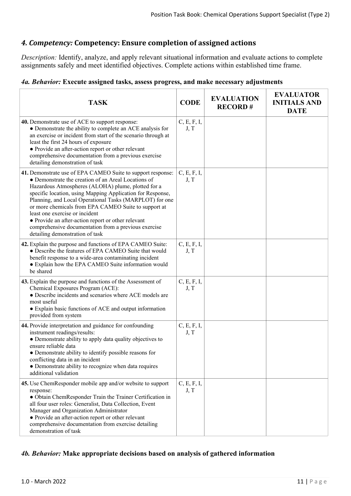## *4. Competency:* **Competency: Ensure completion of assigned actions**

*Description:* Identify, analyze, and apply relevant situational information and evaluate actions to complete assignments safely and meet identified objectives. Complete actions within established time frame.

#### *4a. Behavior:* **Execute assigned tasks, assess progress, and make necessary adjustments**

| <b>TASK</b>                                                                                                                                                                                                                                                                                                                                                                                                                                                                                                                                  | <b>CODE</b>         | <b>EVALUATION</b><br><b>RECORD#</b> | <b>EVALUATOR</b><br><b>INITIALS AND</b><br><b>DATE</b> |
|----------------------------------------------------------------------------------------------------------------------------------------------------------------------------------------------------------------------------------------------------------------------------------------------------------------------------------------------------------------------------------------------------------------------------------------------------------------------------------------------------------------------------------------------|---------------------|-------------------------------------|--------------------------------------------------------|
| 40. Demonstrate use of ACE to support response:<br>• Demonstrate the ability to complete an ACE analysis for<br>an exercise or incident from start of the scenario through at<br>least the first 24 hours of exposure<br>• Provide an after-action report or other relevant<br>comprehensive documentation from a previous exercise<br>detailing demonstration of task                                                                                                                                                                       | C, E, F, I,<br>J, T |                                     |                                                        |
| 41. Demonstrate use of EPA CAMEO Suite to support response:<br>• Demonstrate the creation of an Areal Locations of<br>Hazardous Atmospheres (ALOHA) plume, plotted for a<br>specific location, using Mapping Application for Response,<br>Planning, and Local Operational Tasks (MARPLOT) for one<br>or more chemicals from EPA CAMEO Suite to support at<br>least one exercise or incident<br>• Provide an after-action report or other relevant<br>comprehensive documentation from a previous exercise<br>detailing demonstration of task | C, E, F, I,<br>J, T |                                     |                                                        |
| 42. Explain the purpose and functions of EPA CAMEO Suite:<br>• Describe the features of EPA CAMEO Suite that would<br>benefit response to a wide-area contaminating incident<br>• Explain how the EPA CAMEO Suite information would<br>be shared                                                                                                                                                                                                                                                                                             | C, E, F, I,<br>J, T |                                     |                                                        |
| 43. Explain the purpose and functions of the Assessment of<br>Chemical Exposures Program (ACE):<br>• Describe incidents and scenarios where ACE models are<br>most useful<br>• Explain basic functions of ACE and output information<br>provided from system                                                                                                                                                                                                                                                                                 | C, E, F, I,<br>J, T |                                     |                                                        |
| 44. Provide interpretation and guidance for confounding<br>instrument readings/results:<br>• Demonstrate ability to apply data quality objectives to<br>ensure reliable data<br>• Demonstrate ability to identify possible reasons for<br>conflicting data in an incident<br>• Demonstrate ability to recognize when data requires<br>additional validation                                                                                                                                                                                  | C, E, F, I,<br>J, T |                                     |                                                        |
| 45. Use ChemResponder mobile app and/or website to support<br>response:<br>• Obtain ChemResponder Train the Trainer Certification in<br>all four user roles: Generalist, Data Collection, Event<br>Manager and Organization Administrator<br>• Provide an after-action report or other relevant<br>comprehensive documentation from exercise detailing<br>demonstration of task                                                                                                                                                              | C, E, F, I,<br>J, T |                                     |                                                        |

#### *4b. Behavior:* **Make appropriate decisions based on analysis of gathered information**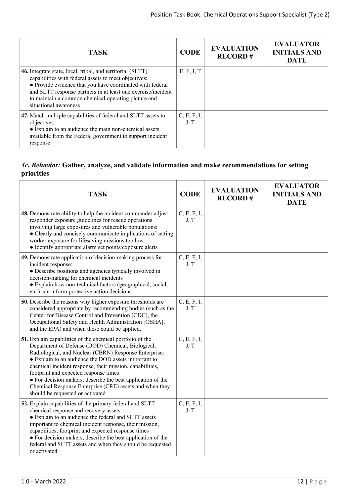| <b>TASK</b>                                                                                                                                                                                                                                                                                                                     | <b>CODE</b>         | <b>EVALUATION</b><br><b>RECORD#</b> | <b>EVALUATOR</b><br><b>INITIALS AND</b><br><b>DATE</b> |
|---------------------------------------------------------------------------------------------------------------------------------------------------------------------------------------------------------------------------------------------------------------------------------------------------------------------------------|---------------------|-------------------------------------|--------------------------------------------------------|
| 46. Integrate state, local, tribal, and territorial (SLTT)<br>capabilities with federal assets to meet objectives:<br>• Provide evidence that you have coordinated with federal<br>and SLTT response partners in at least one exercise/incident<br>to maintain a common chemical operating picture and<br>situational awareness | E, F, I, T          |                                     |                                                        |
| 47. Match multiple capabilities of federal and SLTT assets to<br>objectives:<br>• Explain to an audience the main non-chemical assets<br>available from the Federal government to support incident<br>response                                                                                                                  | C, E, F, I,<br>J, T |                                     |                                                        |

## *4c. Behavior:* **Gather, analyze, and validate information and make recommendations for setting priorities**

| <b>TASK</b>                                                                                                                                                                                                                                                                                                                                                                                                                                                                                        | <b>CODE</b>         | <b>EVALUATION</b><br><b>RECORD#</b> | <b>EVALUATOR</b><br><b>INITIALS AND</b><br><b>DATE</b> |
|----------------------------------------------------------------------------------------------------------------------------------------------------------------------------------------------------------------------------------------------------------------------------------------------------------------------------------------------------------------------------------------------------------------------------------------------------------------------------------------------------|---------------------|-------------------------------------|--------------------------------------------------------|
| 48. Demonstrate ability to help the incident commander adjust<br>responder exposure guidelines for rescue operations<br>involving large exposures and vulnerable populations:<br>• Clearly and concisely communicate implications of setting<br>worker exposure for lifesaving missions too low<br>• Identify appropriate alarm set points/exposure alerts                                                                                                                                         | C, E, F, I,<br>J, T |                                     |                                                        |
| 49. Demonstrate application of decision-making process for<br>incident response:<br>• Describe positions and agencies typically involved in<br>decision-making for chemical incidents<br>• Explain how non-technical factors (geographical, social,<br>etc.) can inform protective action decisions                                                                                                                                                                                                | C, E, F, I,<br>J, T |                                     |                                                        |
| 50. Describe the reasons why higher exposure thresholds are<br>considered appropriate by recommending bodies (such as the<br>Center for Disease Control and Prevention [CDC], the<br>Occupational Safety and Health Administration [OSHA],<br>and the EPA) and when these could be applied.                                                                                                                                                                                                        | C, E, F, I,<br>J, T |                                     |                                                        |
| 51. Explain capabilities of the chemical portfolio of the<br>Department of Defense (DOD) Chemical, Biological,<br>Radiological, and Nuclear (CBRN) Response Enterprise:<br>• Explain to an audience the DOD assets important to<br>chemical incident response, their mission, capabilities,<br>footprint and expected response times<br>• For decision makers, describe the best application of the<br>Chemical Response Enterprise (CRE) assets and when they<br>should be requested or activated | C, E, F, I,<br>J, T |                                     |                                                        |
| 52. Explain capabilities of the primary federal and SLTT<br>chemical response and recovery assets:<br>• Explain to an audience the federal and SLTT assets<br>important to chemical incident response, their mission,<br>capabilities, footprint and expected response times<br>• For decision makers, describe the best application of the<br>federal and SLTT assets and when they should be requested<br>or activated                                                                           | C, E, F, I,<br>J, T |                                     |                                                        |